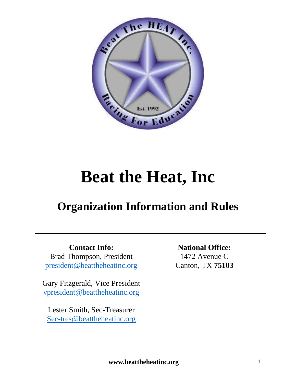

# **Beat the Heat, Inc**

# **Organization Information and Rules**

**Contact Info:** Brad Thompson, President [president@beattheheatinc.org](mailto:president@beattheheatinc.org)

Gary Fitzgerald, Vice President [vpresident@beattheheatinc.org](mailto:vpresident@beattheheatinc.org)

Lester Smith, Sec-Treasurer [Sec-tres@beattheheatinc.org](mailto:Sec-tres@beattheheatinc.org)

**National Office:** 1472 Avenue C Canton, TX **75103**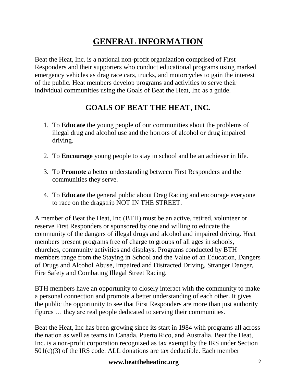# **GENERAL INFORMATION**

Beat the Heat, Inc. is a national non-profit organization comprised of First Responders and their supporters who conduct educational programs using marked emergency vehicles as drag race cars, trucks, and motorcycles to gain the interest of the public. Heat members develop programs and activities to serve their individual communities using the Goals of Beat the Heat, Inc as a guide.

# **GOALS OF BEAT THE HEAT, INC.**

- 1. To **Educate** the young people of our communities about the problems of illegal drug and alcohol use and the horrors of alcohol or drug impaired driving.
- 2. To **Encourage** young people to stay in school and be an achiever in life.
- 3. To **Promote** a better understanding between First Responders and the communities they serve.
- 4. To **Educate** the general public about Drag Racing and encourage everyone to race on the dragstrip NOT IN THE STREET.

A member of Beat the Heat, Inc (BTH) must be an active, retired, volunteer or reserve First Responders or sponsored by one and willing to educate the community of the dangers of illegal drugs and alcohol and impaired driving. Heat members present programs free of charge to groups of all ages in schools, churches, community activities and displays. Programs conducted by BTH members range from the Staying in School and the Value of an Education, Dangers of Drugs and Alcohol Abuse, Impaired and Distracted Driving, Stranger Danger, Fire Safety and Combating Illegal Street Racing.

BTH members have an opportunity to closely interact with the community to make a personal connection and promote a better understanding of each other. It gives the public the opportunity to see that First Responders are more than just authority figures … they are real people dedicated to serving their communities.

Beat the Heat, Inc has been growing since its start in 1984 with programs all across the nation as well as teams in Canada, Puerto Rico, and Australia. Beat the Heat, Inc. is a non-profit corporation recognized as tax exempt by the IRS under Section  $501(c)(3)$  of the IRS code. ALL donations are tax deductible. Each member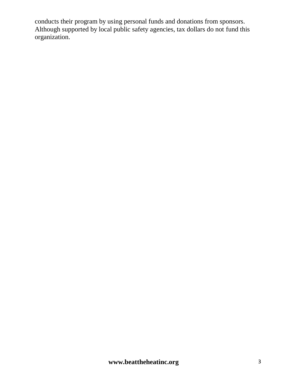conducts their program by using personal funds and donations from sponsors. Although supported by local public safety agencies, tax dollars do not fund this organization.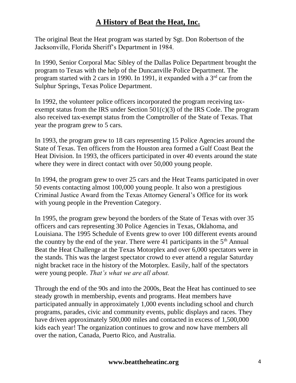# **A History of Beat the Heat, Inc.**

The original Beat the Heat program was started by Sgt. Don Robertson of the Jacksonville, Florida Sheriff's Department in 1984.

In 1990, Senior Corporal Mac Sibley of the Dallas Police Department brought the program to Texas with the help of the Duncanville Police Department. The program started with 2 cars in 1990. In 1991, it expanded with a  $3<sup>rd</sup>$  car from the Sulphur Springs, Texas Police Department.

In 1992, the volunteer police officers incorporated the program receiving taxexempt status from the IRS under Section  $501(c)(3)$  of the IRS Code. The program also received tax-exempt status from the Comptroller of the State of Texas. That year the program grew to 5 cars.

In 1993, the program grew to 18 cars representing 15 Police Agencies around the State of Texas. Ten officers from the Houston area formed a Gulf Coast Beat the Heat Division. In 1993, the officers participated in over 40 events around the state where they were in direct contact with over 50,000 young people.

In 1994, the program grew to over 25 cars and the Heat Teams participated in over 50 events contacting almost 100,000 young people. It also won a prestigious Criminal Justice Award from the Texas Attorney General's Office for its work with young people in the Prevention Category.

In 1995, the program grew beyond the borders of the State of Texas with over 35 officers and cars representing 30 Police Agencies in Texas, Oklahoma, and Louisiana. The 1995 Schedule of Events grew to over 100 different events around the country by the end of the year. There were 41 participants in the  $5<sup>th</sup>$  Annual Beat the Heat Challenge at the Texas Motorplex and over 6,000 spectators were in the stands. This was the largest spectator crowd to ever attend a regular Saturday night bracket race in the history of the Motorplex. Easily, half of the spectators were young people. *That's what we are all about.*

Through the end of the 90s and into the 2000s, Beat the Heat has continued to see steady growth in membership, events and programs. Heat members have participated annually in approximately 1,000 events including school and church programs, parades, civic and community events, public displays and races. They have driven approximately 500,000 miles and contacted in excess of 1,500,000 kids each year! The organization continues to grow and now have members all over the nation, Canada, Puerto Rico, and Australia.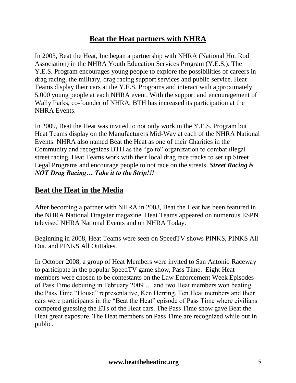# **Beat the Heat partners with NHRA**

In 2003, Beat the Heat, Inc began a partnership with NHRA (National Hot Rod Association) in the NHRA Youth Education Services Program (Y.E.S.). The Y.E.S. Program encourages young people to explore the possibilities of careers in drag racing, the military, drag racing support services and public service. Heat Teams display their cars at the Y.E.S. Programs and interact with approximately 5,000 young people at each NHRA event. With the support and encouragement of Wally Parks, co-founder of NHRA, BTH has increased its participation at the NHRA Events.

In 2009, Beat the Heat was invited to not only work in the Y.E.S. Program but Heat Teams display on the Manufacturers Mid-Way at each of the NHRA National Events. NHRA also named Beat the Heat as one of their Charities in the Community and recognizes BTH as the "go to" organization to combat illegal street racing. Heat Teams work with their local drag race tracks to set up Street Legal Programs and encourage people to not race on the streets. *Street Racing is NOT Drag Racing… Take it to the Strip!!!*

## **Beat the Heat in the Media**

After becoming a partner with NHRA in 2003, Beat the Heat has been featured in the NHRA National Dragster magazine. Heat Teams appeared on numerous ESPN televised NHRA National Events and on NHRA Today.

Beginning in 2008, Heat Teams were seen on SpeedTV shows PINKS, PINKS All Out, and PINKS All Outtakes.

In October 2008, a group of Heat Members were invited to San Antonio Raceway to participate in the popular SpeedTV game show, Pass Time. Eight Heat members were chosen to be contestants on the Law Enforcement Week Episodes of Pass Time debuting in February 2009 … and two Heat members won beating the Pass Time "House" representative, Ken Herring. Ten Heat members and their cars were participants in the "Beat the Heat" episode of Pass Time where civilians competed guessing the ETs of the Heat cars. The Pass Time show gave Beat the Heat great exposure. The Heat members on Pass Time are recognized while out in public.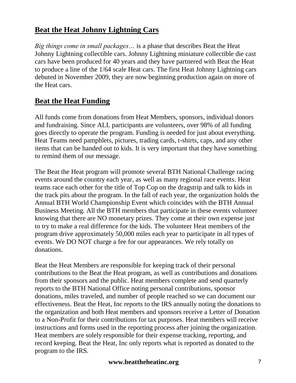# **Beat the Heat Johnny Lightning Cars**

*Big things come in small packages…* is a phase that describes Beat the Heat Johnny Lightning collectible cars. Johnny Lightning miniature collectible die cast cars have been produced for 40 years and they have partnered with Beat the Heat to produce a line of the 1/64 scale Heat cars. The first Heat Johnny Lightning cars debuted in November 2009, they are now beginning production again on more of the Heat cars.

# **Beat the Heat Funding**

All funds come from donations from Heat Members, sponsors, individual donors and fundraising. Since ALL participants are volunteers, over 98% of all funding goes directly to operate the program. Funding is needed for just about everything. Heat Teams need pamphlets, pictures, trading cards, t-shirts, caps, and any other items that can be handed out to kids. It is very important that they have something to remind them of our message.

The Beat the Heat program will promote several BTH National Challenge racing events around the country each year, as well as many regional race events. Heat teams race each other for the title of Top Cop on the dragstrip and talk to kids in the track pits about the program. In the fall of each year, the organization holds the Annual BTH World Championship Event which coincides with the BTH Annual Business Meeting. All the BTH members that participate in these events volunteer knowing that there are NO monetary prizes. They come at their own expense just to try to make a real difference for the kids. The volunteer Heat members of the program drive approximately 50,000 miles each year to participate in all types of events. We DO NOT charge a fee for our appearances. We rely totally on donations.

Beat the Heat Members are responsible for keeping track of their personal contributions to the Beat the Heat program, as well as contributions and donations from their sponsors and the public. Heat members complete and send quarterly reports to the BTH National Office noting personal contributions, sponsor donations, miles traveled, and number of people reached so we can document our effectiveness. Beat the Heat, Inc reports to the IRS annually noting the donations to the organization and both Heat members and sponsors receive a Letter of Donation to a Non-Profit for their contributions for tax purposes. Heat members will receive instructions and forms used in the reporting process after joining the organization. Heat members are solely responsible for their expense tracking, reporting, and record keeping. Beat the Heat, Inc only reports what is reported as donated to the program to the IRS.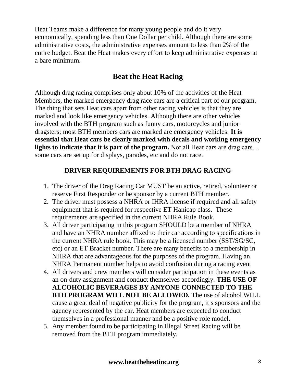Heat Teams make a difference for many young people and do it very economically, spending less than One Dollar per child. Although there are some administrative costs, the administrative expenses amount to less than 2% of the entire budget. Beat the Heat makes every effort to keep administrative expenses at a bare minimum.

# **Beat the Heat Racing**

Although drag racing comprises only about 10% of the activities of the Heat Members, the marked emergency drag race cars are a critical part of our program. The thing that sets Heat cars apart from other racing vehicles is that they are marked and look like emergency vehicles. Although there are other vehicles involved with the BTH program such as funny cars, motorcycles and junior dragsters; most BTH members cars are marked are emergency vehicles. **It is essential that Heat cars be clearly marked with decals and working emergency lights to indicate that it is part of the program.** Not all Heat cars are drag cars… some cars are set up for displays, parades, etc and do not race.

#### **DRIVER REQUIREMENTS FOR BTH DRAG RACING**

- 1. The driver of the Drag Racing Car MUST be an active, retired, volunteer or reserve First Responder or be sponsor by a current BTH member.
- 2. The driver must possess a NHRA or IHRA license if required and all safety equipment that is required for respective ET Hanicap class. These requirements are specified in the current NHRA Rule Book.
- 3. All driver participating in this program SHOULD be a member of NHRA and have an NHRA number affixed to their car according to specifications in the current NHRA rule book. This may be a licensed number (SST/SG/SC, etc) or an ET Bracket number. There are many benefits to a membership in NHRA that are advantageous for the purposes of the program. Having an NHRA Permanent number helps to avoid confusion during a racing event
- 4. All drivers and crew members will consider participation in these events as an on-duty assignment and conduct themselves accordingly. **THE USE OF ALCOHOLIC BEVERAGES BY ANYONE CONNECTED TO THE BTH PROGRAM WILL NOT BE ALLOWED.** The use of alcohol WILL cause a great deal of negative publicity for the program, it s sponsors and the agency represented by the car. Heat members are expected to conduct themselves in a professional manner and be a positive role model.
- 5. Any member found to be participating in Illegal Street Racing will be removed from the BTH program immediately.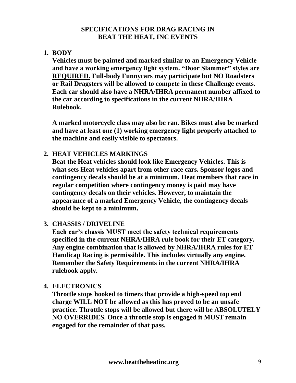#### **SPECIFICATIONS FOR DRAG RACING IN BEAT THE HEAT, INC EVENTS**

#### **1. BODY**

**Vehicles must be painted and marked similar to an Emergency Vehicle and have a working emergency light system. "Door Slammer" styles are REQUIRED. Full-body Funnycars may participate but NO Roadsters or Rail Dragsters will be allowed to compete in these Challenge events. Each car should also have a NHRA/IHRA permanent number affixed to the car according to specifications in the current NHRA/IHRA Rulebook.**

**A marked motorcycle class may also be ran. Bikes must also be marked and have at least one (1) working emergency light properly attached to the machine and easily visible to spectators.** 

#### **2. HEAT VEHICLES MARKINGS**

**Beat the Heat vehicles should look like Emergency Vehicles. This is what sets Heat vehicles apart from other race cars. Sponsor logos and contingency decals should be at a minimum. Heat members that race in regular competition where contingency money is paid may have contingency decals on their vehicles. However, to maintain the appearance of a marked Emergency Vehicle, the contingency decals should be kept to a minimum.** 

#### **3. CHASSIS / DRIVELINE**

**Each car's chassis MUST meet the safety technical requirements specified in the current NHRA/IHRA rule book for their ET category. Any engine combination that is allowed by NHRA/IHRA rules for ET Handicap Racing is permissible. This includes virtually any engine. Remember the Safety Requirements in the current NHRA/IHRA rulebook apply.**

#### **4. ELECTRONICS**

**Throttle stops hooked to timers that provide a high-speed top end charge WILL NOT be allowed as this has proved to be an unsafe practice. Throttle stops will be allowed but there will be ABSOLUTELY NO OVERRIDES. Once a throttle stop is engaged it MUST remain engaged for the remainder of that pass.**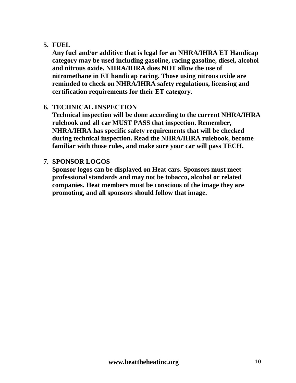#### **5. FUEL**

**Any fuel and/or additive that is legal for an NHRA/IHRA ET Handicap category may be used including gasoline, racing gasoline, diesel, alcohol and nitrous oxide. NHRA/IHRA does NOT allow the use of nitromethane in ET handicap racing. Those using nitrous oxide are reminded to check on NHRA/IHRA safety regulations, licensing and certification requirements for their ET category.**

#### **6. TECHNICAL INSPECTION**

**Technical inspection will be done according to the current NHRA/IHRA rulebook and all car MUST PASS that inspection. Remember, NHRA/IHRA has specific safety requirements that will be checked during technical inspection. Read the NHRA/IHRA rulebook, become familiar with those rules, and make sure your car will pass TECH.**

#### **7. SPONSOR LOGOS**

**Sponsor logos can be displayed on Heat cars. Sponsors must meet professional standards and may not be tobacco, alcohol or related companies. Heat members must be conscious of the image they are promoting, and all sponsors should follow that image.**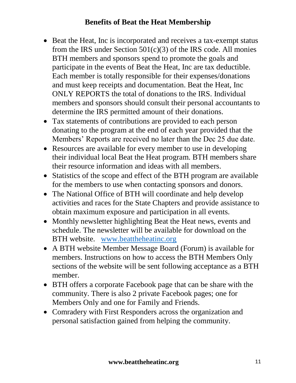# **Benefits of Beat the Heat Membership**

- Beat the Heat, Inc is incorporated and receives a tax-exempt status from the IRS under Section 501(c)(3) of the IRS code. All monies BTH members and sponsors spend to promote the goals and participate in the events of Beat the Heat, Inc are tax deductible. Each member is totally responsible for their expenses/donations and must keep receipts and documentation. Beat the Heat, Inc ONLY REPORTS the total of donations to the IRS. Individual members and sponsors should consult their personal accountants to determine the IRS permitted amount of their donations.
- Tax statements of contributions are provided to each person donating to the program at the end of each year provided that the Members' Reports are received no later than the Dec 25 due date.
- Resources are available for every member to use in developing their individual local Beat the Heat program. BTH members share their resource information and ideas with all members.
- Statistics of the scope and effect of the BTH program are available for the members to use when contacting sponsors and donors.
- The National Office of BTH will coordinate and help develop activities and races for the State Chapters and provide assistance to obtain maximum exposure and participation in all events.
- Monthly newsletter highlighting Beat the Heat news, events and schedule. The newsletter will be available for download on the BTH website. [www.beattheheatinc.org](http://www.beattheheatinc.org/)
- A BTH website Member Message Board (Forum) is available for members. Instructions on how to access the BTH Members Only sections of the website will be sent following acceptance as a BTH member.
- BTH offers a corporate Facebook page that can be share with the community. There is also 2 private Facebook pages; one for Members Only and one for Family and Friends.
- Comradery with First Responders across the organization and personal satisfaction gained from helping the community.